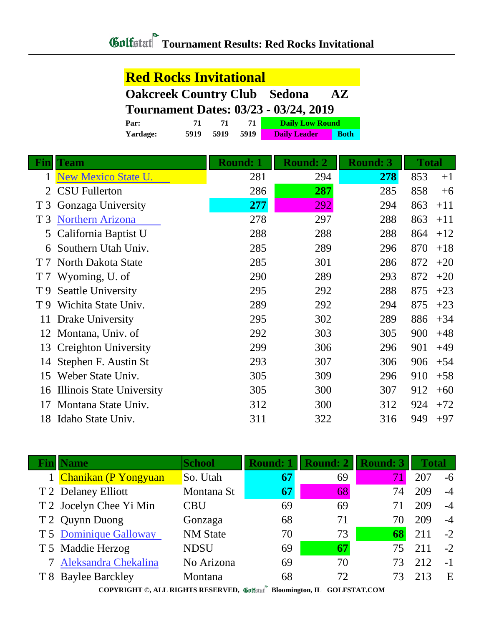#### **Red Rocks Invitational**

|                                              | <b>Oakcreek Country Club Sedona</b> | <b>AZ</b> |
|----------------------------------------------|-------------------------------------|-----------|
| <b>Tournament Dates: 03/23 - 03/24, 2019</b> |                                     |           |

| Par:            |      |      |      | <b>Daily Low Round</b> |             |  |
|-----------------|------|------|------|------------------------|-------------|--|
| <b>Yardage:</b> | 5919 | 5919 | 5919 | <b>Daily Leader</b>    | <b>Both</b> |  |

| Fin            | <b>Team</b>               | <b>Round: 1</b> | <b>Round: 2</b> | <b>Round: 3</b> | <b>Total</b> |
|----------------|---------------------------|-----------------|-----------------|-----------------|--------------|
| $\mathbf{1}$   | New Mexico State U.       | 281             | 294             | 278             | 853<br>$+1$  |
| 2              | <b>CSU</b> Fullerton      | 286             | 287             | 285             | 858<br>$+6$  |
| T <sub>3</sub> | Gonzaga University        | 277             | 292             | 294             | 863<br>$+11$ |
| T <sub>3</sub> | <b>Northern Arizona</b>   | 278             | 297             | 288             | 863<br>$+11$ |
| 5              | California Baptist U      | 288             | 288             | 288             | 864<br>$+12$ |
| 6              | Southern Utah Univ.       | 285             | 289             | 296             | 870<br>$+18$ |
| T <sub>7</sub> | North Dakota State        | 285             | 301             | 286             | 872<br>$+20$ |
| T <sub>7</sub> | Wyoming, U. of            | 290             | 289             | 293             | 872<br>$+20$ |
| T 9            | <b>Seattle University</b> | 295             | 292             | 288             | 875<br>$+23$ |
| T <sub>9</sub> | Wichita State Univ.       | 289             | 292             | 294             | 875<br>$+23$ |
| 11             | Drake University          | 295             | 302             | 289             | 886<br>$+34$ |
| 12             | Montana, Univ. of         | 292             | 303             | 305             | 900<br>$+48$ |
| 13             | Creighton University      | 299             | 306             | 296             | 901<br>$+49$ |
| 14             | Stephen F. Austin St      | 293             | 307             | 306             | 906<br>$+54$ |
| 15             | Weber State Univ.         | 305             | 309             | 296             | 910<br>$+58$ |
| 16             | Illinois State University | 305             | 300             | 307             | 912<br>$+60$ |
| 17             | Montana State Univ.       | 312             | 300             | 312             | 924<br>$+72$ |
| 18             | Idaho State Univ.         | 311             | 322             | 316             | 949<br>$+97$ |

|                                                                          | <b>Fin</b>   Name       | <b>School</b>   | <b>Round: 1</b> | <b>Round: 2</b> | <b>Round: 3</b> | <b>Total</b> |      |
|--------------------------------------------------------------------------|-------------------------|-----------------|-----------------|-----------------|-----------------|--------------|------|
|                                                                          | 1 Chanikan (P Yongyuan  | So. Utah        | 67              | 69              | 71              | 207          | -6   |
|                                                                          | T 2 Delaney Elliott     | Montana St      | 67              | 68              | 74              | 209          | $-4$ |
|                                                                          | T 2 Jocelyn Chee Yi Min | CBU             | 69              | 69              |                 | 209          | $-4$ |
|                                                                          | T 2 Quynn Duong         | Gonzaga         | 68              | 71              | 70              | 209          | $-4$ |
|                                                                          | T 5 Dominique Galloway  | <b>NM</b> State | 70              | 73              | 68              | 211          | $-2$ |
|                                                                          | T 5 Maddie Herzog       | <b>NDSU</b>     | 69              | 67              | 75              | 211          | $-2$ |
|                                                                          | 7 Aleksandra Chekalina  | No Arizona      | 69              | 70              | 73              | 212          | $-1$ |
|                                                                          | T 8 Baylee Barckley     | Montana         | 68              | 72              | 73              | 213          | E    |
| COPYRIGHT ©, ALL RIGHTS RESERVED, Collected Bloomington, IL GOLFSTAT.COM |                         |                 |                 |                 |                 |              |      |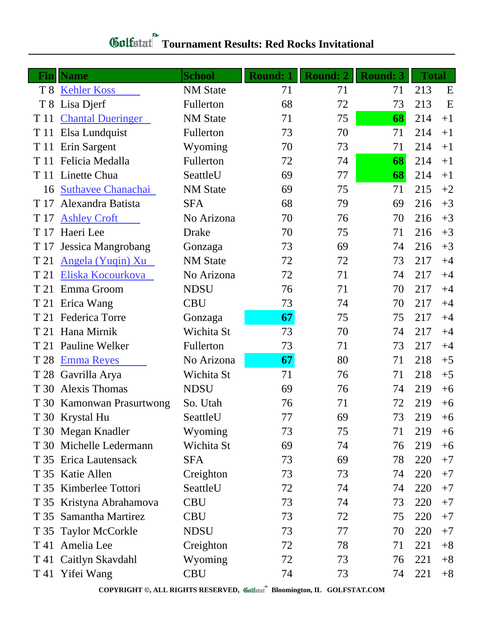# *Gulfatat* Tournament Results: Red Rocks Invitational

| Finl           | <b>Name</b>               | <b>School</b>   | <b>Round: 1</b> | <b>Round: 2</b> | <b>Round: 3</b> | <b>Total</b> |      |
|----------------|---------------------------|-----------------|-----------------|-----------------|-----------------|--------------|------|
| T 8            | <b>Kehler Koss</b>        | <b>NM</b> State | 71              | 71              | 71              | 213          | E    |
| T <sub>8</sub> | Lisa Djerf                | Fullerton       | 68              | 72              | 73              | 213          | E    |
| T 11           | <b>Chantal Dueringer</b>  | <b>NM</b> State | 71              | 75              | 68              | 214          | $+1$ |
| T 11           | Elsa Lundquist            | Fullerton       | 73              | 70              | 71              | 214          | $+1$ |
| T 11           | Erin Sargent              | Wyoming         | 70              | 73              | 71              | 214          | $+1$ |
| T 11           | Felicia Medalla           | Fullerton       | 72              | 74              | 68              | 214          | $+1$ |
|                | T 11 Linette Chua         | SeattleU        | 69              | 77              | 68              | 214          | $+1$ |
| 16             | <b>Suthavee Chanachai</b> | <b>NM</b> State | 69              | 75              | 71              | 215          | $+2$ |
| T 17           | Alexandra Batista         | <b>SFA</b>      | 68              | 79              | 69              | 216          | $+3$ |
| T 17           | <b>Ashley Croft</b>       | No Arizona      | 70              | 76              | 70              | 216          | $+3$ |
| T 17           | Haeri Lee                 | Drake           | 70              | 75              | 71              | 216          | $+3$ |
| T 17           | Jessica Mangrobang        | Gonzaga         | 73              | 69              | 74              | 216          | $+3$ |
| T 21           | Angela (Yuqin) Xu         | <b>NM</b> State | 72              | 72              | 73              | 217          | $+4$ |
| T 21           | Eliska Kocourkova         | No Arizona      | 72              | 71              | 74              | 217          | $+4$ |
| T 21           | Emma Groom                | <b>NDSU</b>     | 76              | 71              | 70              | 217          | $+4$ |
| T 21           | Erica Wang                | <b>CBU</b>      | 73              | 74              | 70              | 217          | $+4$ |
| T 21           | Federica Torre            | Gonzaga         | 67              | 75              | 75              | 217          | $+4$ |
| T 21           | Hana Mirnik               | Wichita St      | 73              | 70              | 74              | 217          | $+4$ |
| T 21           | <b>Pauline Welker</b>     | Fullerton       | 73              | 71              | 73              | 217          | $+4$ |
| T 28           | <b>Emma Reyes</b>         | No Arizona      | 67              | 80              | 71              | 218          | $+5$ |
| T 28           | Gavrilla Arya             | Wichita St      | 71              | 76              | 71              | 218          | $+5$ |
| T 30           | <b>Alexis Thomas</b>      | <b>NDSU</b>     | 69              | 76              | 74              | 219          | $+6$ |
|                | T 30 Kamonwan Prasurtwong | So. Utah        | 76              | 71              | 72              | 219          | $+6$ |
|                | T 30 Krystal Hu           | SeattleU        | 77              | 69              | 73              | 219          | $+6$ |
|                | T 30 Megan Knadler        | Wyoming         | 73              | 75              | 71              | 219          | $+6$ |
|                | T 30 Michelle Ledermann   | Wichita St      | 69              | 74              | 76              | 219          | $+6$ |
|                | T 35 Erica Lautensack     | <b>SFA</b>      | 73              | 69              | 78              | 220          | $+7$ |
|                | T 35 Katie Allen          | Creighton       | 73              | 73              | 74              | 220          | $+7$ |
|                | T 35 Kimberlee Tottori    | SeattleU        | 72              | 74              | 74              | 220          | $+7$ |
|                | T 35 Kristyna Abrahamova  | <b>CBU</b>      | 73              | 74              | 73              | 220          | $+7$ |
|                | T 35 Samantha Martirez    | <b>CBU</b>      | 73              | 72              | 75              | 220          | $+7$ |
|                | T 35 Taylor McCorkle      | <b>NDSU</b>     | 73              | 77              | 70              | 220          | $+7$ |
|                | T 41 Amelia Lee           | Creighton       | 72              | 78              | 71              | 221          | $+8$ |
|                | T 41 Caitlyn Skavdahl     | Wyoming         | 72              | 73              | 76              | 221          | $+8$ |
|                | T 41 Yifei Wang           | <b>CBU</b>      | 74              | 73              | 74              | 221          | $+8$ |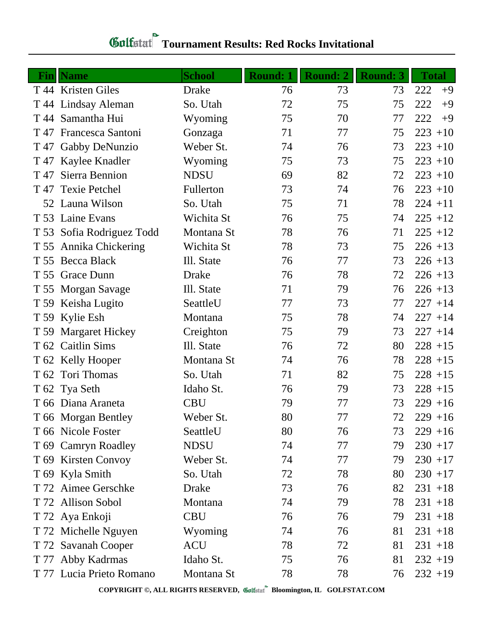# *Gulfatat* Tournament Results: Red Rocks Invitational

|      | <b>Fin</b>   Name         | <b>School</b> | <b>Round: 1</b> | <b>Round: 2</b> | <b>Round: 3</b> | <b>Total</b> |
|------|---------------------------|---------------|-----------------|-----------------|-----------------|--------------|
|      | T 44 Kristen Giles        | <b>Drake</b>  | 76              | 73              | 73              | 222<br>$+9$  |
|      | T 44 Lindsay Aleman       | So. Utah      | 72              | 75              | 75              | 222<br>$+9$  |
|      | T 44 Samantha Hui         | Wyoming       | 75              | 70              | 77              | 222<br>$+9$  |
|      | T 47 Francesca Santoni    | Gonzaga       | 71              | 77              | 75              | $223 + 10$   |
|      | T 47 Gabby DeNunzio       | Weber St.     | 74              | 76              | 73              | $223 + 10$   |
|      | T 47 Kaylee Knadler       | Wyoming       | 75              | 73              | 75              | $223 + 10$   |
| T 47 | Sierra Bennion            | <b>NDSU</b>   | 69              | 82              | 72              | $223 + 10$   |
| T 47 | <b>Texie Petchel</b>      | Fullerton     | 73              | 74              | 76              | $223 + 10$   |
|      | 52 Launa Wilson           | So. Utah      | 75              | 71              | 78              | $224 + 11$   |
|      | T 53 Laine Evans          | Wichita St    | 76              | 75              | 74              | $225 + 12$   |
|      | T 53 Sofia Rodriguez Todd | Montana St    | 78              | 76              | 71              | $225 + 12$   |
| T 55 | Annika Chickering         | Wichita St    | 78              | 73              | 75              | $226 + 13$   |
|      | T 55 Becca Black          | Ill. State    | 76              | 77              | 73              | $226 + 13$   |
|      | T 55 Grace Dunn           | <b>Drake</b>  | 76              | 78              | 72              | $226 + 13$   |
|      | T 55 Morgan Savage        | Ill. State    | 71              | 79              | 76              | $226 + 13$   |
|      | T 59 Keisha Lugito        | SeattleU      | 77              | 73              | 77              | $227 + 14$   |
|      | T 59 Kylie Esh            | Montana       | 75              | 78              | 74              | $227 + 14$   |
|      | T 59 Margaret Hickey      | Creighton     | 75              | 79              | 73              | $227 + 14$   |
|      | T 62 Caitlin Sims         | Ill. State    | 76              | 72              | 80              | $228 + 15$   |
|      | T 62 Kelly Hooper         | Montana St    | 74              | 76              | 78              | $228 + 15$   |
|      | T 62 Tori Thomas          | So. Utah      | 71              | 82              | 75              | $228 + 15$   |
|      | T 62 Tya Seth             | Idaho St.     | 76              | 79              | 73              | $228 + 15$   |
|      | T 66 Diana Araneta        | <b>CBU</b>    | 79              | 77              | 73              | $229 + 16$   |
|      | T 66 Morgan Bentley       | Weber St.     | 80              | 77              | 72              | $229 + 16$   |
|      | T 66 Nicole Foster        | SeattleU      | 80              | 76              | 73              | $229 + 16$   |
|      | T 69 Camryn Roadley       | <b>NDSU</b>   | 74              | 77              | 79              | $230 + 17$   |
|      | T 69 Kirsten Convoy       | Weber St.     | 74              | 77              | 79              | $230 + 17$   |
|      | T 69 Kyla Smith           | So. Utah      | 72              | 78              | 80              | $230 + 17$   |
|      | T 72 Aimee Gerschke       | <b>Drake</b>  | 73              | 76              | 82              | $231 + 18$   |
|      | T 72 Allison Sobol        | Montana       | 74              | 79              | 78              | $231 + 18$   |
|      | T 72 Aya Enkoji           | <b>CBU</b>    | 76              | 76              | 79              | $231 + 18$   |
|      | T 72 Michelle Nguyen      | Wyoming       | 74              | 76              | 81              | $231 + 18$   |
|      | T 72 Savanah Cooper       | <b>ACU</b>    | 78              | 72              | 81              | $231 + 18$   |
|      | T 77 Abby Kadrmas         | Idaho St.     | 75              | 76              | 81              | $232 + 19$   |
|      | T 77 Lucia Prieto Romano  | Montana St    | 78              | 78              | 76              | $232 + 19$   |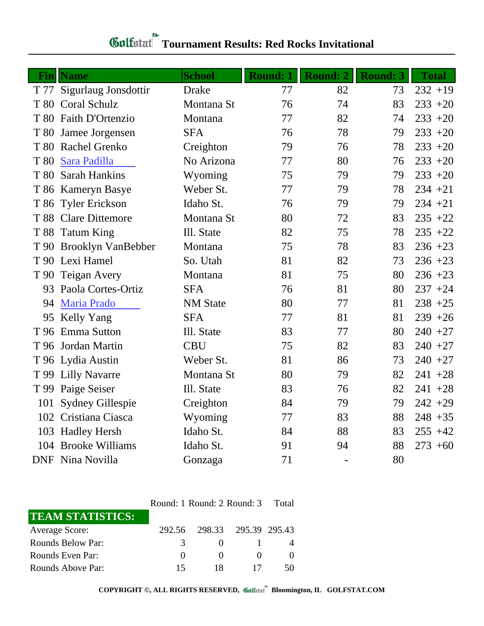### **Tournament Results: Red Rocks Invitational**

| Finl | <b>Name</b>             | <b>School</b>   | <b>Round: 1</b> | Round: 2 | <b>Round: 3</b> | <b>Total</b> |
|------|-------------------------|-----------------|-----------------|----------|-----------------|--------------|
| T 77 | Sigurlaug Jonsdottir    | <b>Drake</b>    | 77              | 82       | 73              | $232 + 19$   |
|      | T 80 Coral Schulz       | Montana St      | 76              | 74       | 83              | $233 + 20$   |
|      | T 80 Faith D'Ortenzio   | Montana         | 77              | 82       | 74              | $233 + 20$   |
|      | T 80 Jamee Jorgensen    | <b>SFA</b>      | 76              | 78       | 79              | $233 + 20$   |
|      | T 80 Rachel Grenko      | Creighton       | 79              | 76       | 78              | $233 + 20$   |
| T 80 | Sara Padilla            | No Arizona      | 77              | 80       | 76              | $233 + 20$   |
| T 80 | <b>Sarah Hankins</b>    | Wyoming         | 75              | 79       | 79              | $233 + 20$   |
|      | T 86 Kameryn Basye      | Weber St.       | 77              | 79       | 78              | $234 + 21$   |
|      | T 86 Tyler Erickson     | Idaho St.       | 76              | 79       | 79              | $234 + 21$   |
|      | T 88 Clare Dittemore    | Montana St      | 80              | 72       | 83              | $235 + 22$   |
|      | T 88 Tatum King         | Ill. State      | 82              | 75       | 78              | $235 + 22$   |
|      | T 90 Brooklyn VanBebber | Montana         | 75              | 78       | 83              | $236 + 23$   |
|      | T 90 Lexi Hamel         | So. Utah        | 81              | 82       | 73              | $236 + 23$   |
|      | T 90 Teigan Avery       | Montana         | 81              | 75       | 80              | $236 + 23$   |
| 93   | Paola Cortes-Ortiz      | <b>SFA</b>      | 76              | 81       | 80              | $237 + 24$   |
| 94   | Maria Prado             | <b>NM</b> State | 80              | 77       | 81              | $238 + 25$   |
| 95   | Kelly Yang              | <b>SFA</b>      | 77              | 81       | 81              | $239 + 26$   |
| T 96 | Emma Sutton             | Ill. State      | 83              | 77       | 80              | $240 + 27$   |
|      | T 96 Jordan Martin      | <b>CBU</b>      | 75              | 82       | 83              | $240 + 27$   |
|      | T 96 Lydia Austin       | Weber St.       | 81              | 86       | 73              | $240 +27$    |
|      | T 99 Lilly Navarre      | Montana St      | 80              | 79       | 82              | $241 + 28$   |
|      | T 99 Paige Seiser       | Ill. State      | 83              | 76       | 82              | $241 + 28$   |
| 101  | <b>Sydney Gillespie</b> | Creighton       | 84              | 79       | 79              | $242 + 29$   |
| 102  | Cristiana Ciasca        | Wyoming         | 77              | 83       | 88              | $248 + 35$   |
| 103  | <b>Hadley Hersh</b>     | Idaho St.       | 84              | 88       | 83              | $255 + 42$   |
|      | 104 Brooke Williams     | Idaho St.       | 91              | 94       | 88              | $273 + 60$   |
|      | <b>DNF</b> Nina Novilla | Gonzaga         | 71              |          | 80              |              |

| <b>TEAM STATISTICS:</b> |               |              |                      |  |
|-------------------------|---------------|--------------|----------------------|--|
| <b>Average Score:</b>   | 292.56        |              | 298.33 295.39 295.43 |  |
| Rounds Below Par:       | $\mathcal{L}$ | $\mathbf{U}$ |                      |  |
| Rounds Even Par:        |               |              |                      |  |
| Rounds Above Par:       | 15            |              |                      |  |